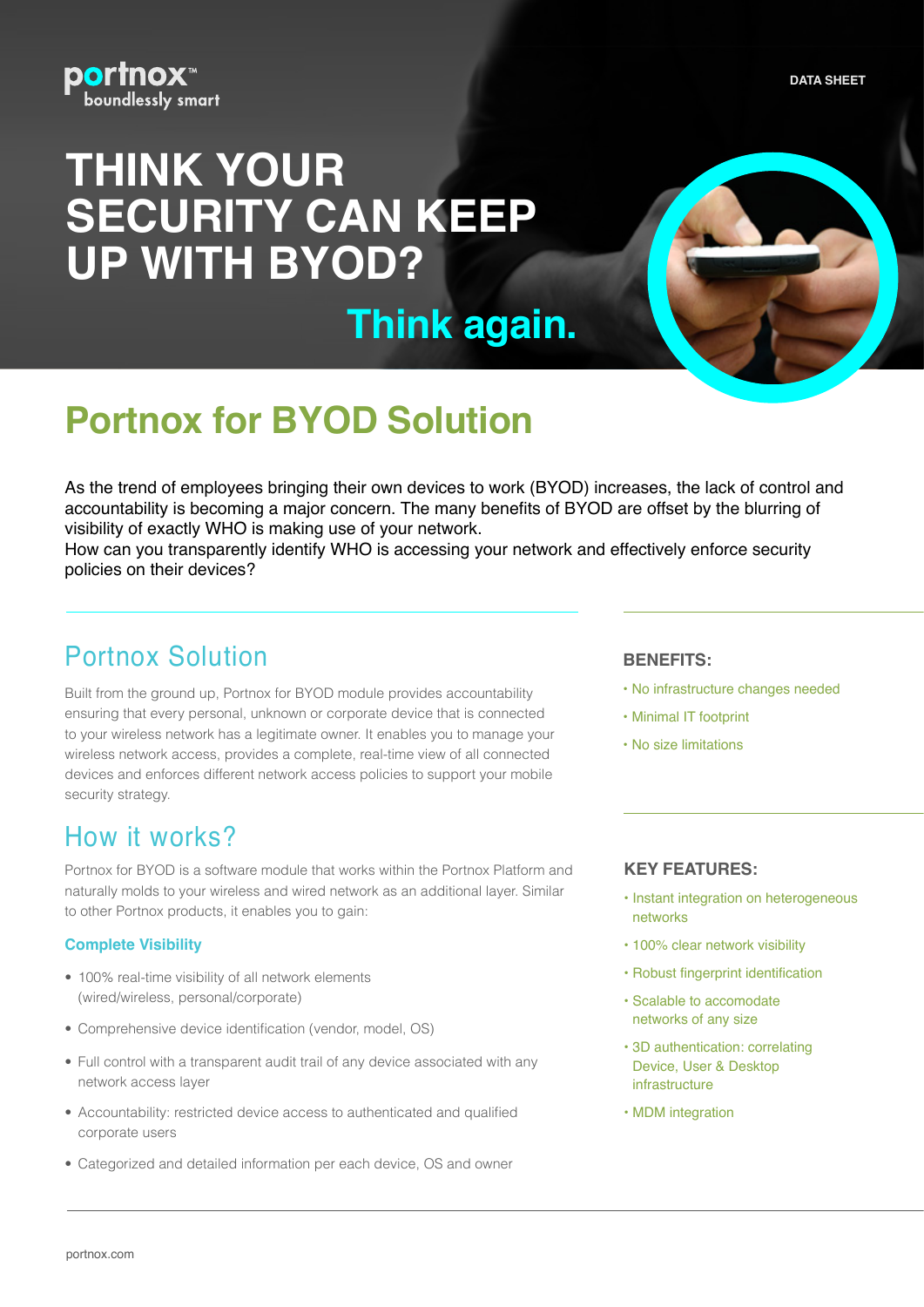**DATA SHEET** 



# **THINK YOUR SECURITY CAN KEEP UP WITH BYOD?**

**Think again.** 

## **Portnox for BYOD Solution**

As the trend of employees bringing their own devices to work (BYOD) increases, the lack of control and accountability is becoming a major concern. The many benefits of BYOD are offset by the blurring of visibility of exactly WHO is making use of your network.

How can you transparently identify WHO is accessing your network and effectively enforce security policies on their devices?

## **Portnox Solution**

Built from the ground up, Portnox for BYOD module provides accountability ensuring that every personal, unknown or corporate device that is connected to your wireless network has a legitimate owner. It enables you to manage your wireless network access, provides a complete, real-time view of all connected devices and enforces different network access policies to support your mobile security strategy.

### How it works?

Portnox for BYOD is a software module that works within the Portnox Platform and naturally molds to your wireless and wired network as an additional layer. Similar to other Portnox products, it enables you to gain:

#### **Complete Visibility**

- 100% real-time visibility of all network elements (wired/wireless, personal/corporate)
- Comprehensive device identification (vendor, model, OS)
- Full control with a transparent audit trail of any device associated with any network access layer
- Accountability: restricted device access to authenticated and qualified corporate users
- Categorized and detailed information per each device, OS and owner

#### **:BENEFITS**

- No infrastructure changes needed
- Minimal IT footprint
- No size limitations

#### **KEY FEATURES:**

- Instant integration on heterogeneous networks
- 100% clear network visibility
- Robust fingerprint identification
- Scalable to accomodate networks of any size
- 3D authentication: correlating Device, User & Desktop infrastructure
- MDM integration